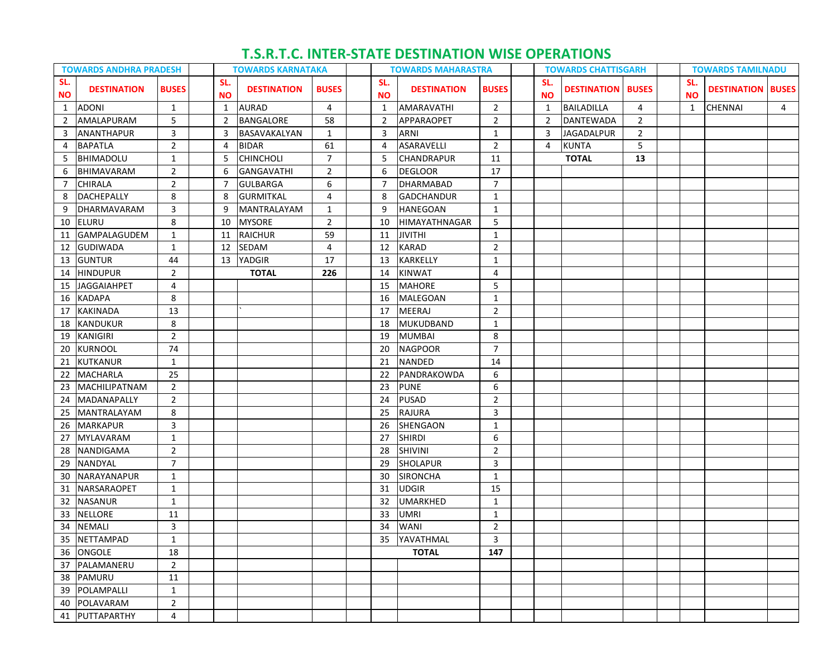## **T.S.R.T.C. INTER-STATE DESTINATION WISE OPERATIONS**

| <b>TOWARDS ANDHRA PRADESH</b> |                      | <b>TOWARDS KARNATAKA</b> |  | <b>TOWARDS MAHARASTRA</b> |                    |              | <b>TOWARDS CHATTISGARH</b> |                  |                    |                |  | <b>TOWARDS TAMILNADU</b> |                          |                |  |                  |                          |   |
|-------------------------------|----------------------|--------------------------|--|---------------------------|--------------------|--------------|----------------------------|------------------|--------------------|----------------|--|--------------------------|--------------------------|----------------|--|------------------|--------------------------|---|
| SL.<br><b>NO</b>              | <b>DESTINATION</b>   | <b>BUSES</b>             |  | SL.<br><b>NO</b>          | <b>DESTINATION</b> | <b>BUSES</b> |                            | SL.<br><b>NO</b> | <b>DESTINATION</b> | <b>BUSES</b>   |  | SL.<br><b>NO</b>         | <b>DESTINATION BUSES</b> |                |  | SL.<br><b>NO</b> | <b>DESTINATION BUSES</b> |   |
| $\mathbf{1}$                  | <b>ADONI</b>         | $\mathbf{1}$             |  | $\mathbf{1}$              | <b>AURAD</b>       | 4            |                            | $\mathbf{1}$     | AMARAVATHI         | $\overline{2}$ |  | 1                        | <b>BAILADILLA</b>        | 4              |  | $\mathbf{1}$     | <b>CHENNAI</b>           | 4 |
| $\overline{2}$                | AMALAPURAM           | 5                        |  | 2                         | BANGALORE          | 58           |                            | $\overline{2}$   | APPARAOPET         | $\overline{2}$ |  | 2                        | DANTEWADA                | 2              |  |                  |                          |   |
| 3                             | ANANTHAPUR           | 3                        |  | 3                         | BASAVAKALYAN       | 1            |                            | 3                | ARNI               | $\mathbf{1}$   |  | 3                        | <b>JAGADALPUR</b>        | $\overline{2}$ |  |                  |                          |   |
| 4                             | <b>BAPATLA</b>       | $\overline{2}$           |  | 4                         | <b>BIDAR</b>       | 61           |                            | 4                | ASARAVELLI         | $\overline{2}$ |  | 4                        | <b>KUNTA</b>             | 5              |  |                  |                          |   |
| 5                             | BHIMADOLU            | $\mathbf{1}$             |  | 5                         | <b>CHINCHOLI</b>   | 7            |                            | 5                | CHANDRAPUR         | 11             |  |                          | <b>TOTAL</b>             | 13             |  |                  |                          |   |
| 6                             | BHIMAVARAM           | $\overline{2}$           |  | 6                         | <b>GANGAVATHI</b>  | 2            |                            | 6                | <b>DEGLOOR</b>     | 17             |  |                          |                          |                |  |                  |                          |   |
| 7                             | <b>CHIRALA</b>       | $\overline{2}$           |  | 7                         | <b>GULBARGA</b>    | 6            |                            | $\overline{7}$   | <b>DHARMABAD</b>   | $\overline{7}$ |  |                          |                          |                |  |                  |                          |   |
| 8                             | DACHEPALLY           | 8                        |  | 8                         | GURMITKAL          | 4            |                            | 8                | <b>GADCHANDUR</b>  | 1              |  |                          |                          |                |  |                  |                          |   |
| 9                             | DHARMAVARAM          | 3                        |  | 9                         | <b>MANTRALAYAM</b> | 1            |                            | 9                | <b>HANEGOAN</b>    | $\mathbf{1}$   |  |                          |                          |                |  |                  |                          |   |
| 10                            | <b>ELURU</b>         | 8                        |  | 10                        | <b>MYSORE</b>      | 2            |                            | 10               | HIMAYATHNAGAR      | 5              |  |                          |                          |                |  |                  |                          |   |
|                               | 11   GAMPALAGUDEM    | $\mathbf{1}$             |  | 11                        | <b>RAICHUR</b>     | 59           |                            | 11               | JIVITHI            | $\mathbf{1}$   |  |                          |                          |                |  |                  |                          |   |
| 12                            | <b>GUDIWADA</b>      | $\mathbf{1}$             |  | 12                        | SEDAM              | 4            |                            | 12               | KARAD              | $\overline{2}$ |  |                          |                          |                |  |                  |                          |   |
| 13                            | <b>GUNTUR</b>        | 44                       |  | 13                        | YADGIR             | 17           |                            | 13               | <b>KARKELLY</b>    | $\mathbf{1}$   |  |                          |                          |                |  |                  |                          |   |
| 14                            | <b>HINDUPUR</b>      | $\overline{2}$           |  |                           | <b>TOTAL</b>       | 226          |                            | 14               | <b>KINWAT</b>      | $\overline{4}$ |  |                          |                          |                |  |                  |                          |   |
| 15                            | <b>JAGGAIAHPET</b>   | 4                        |  |                           |                    |              |                            | 15               | <b>MAHORE</b>      | 5              |  |                          |                          |                |  |                  |                          |   |
| 16                            | <b>KADAPA</b>        | 8                        |  |                           |                    |              |                            | 16               | MALEGOAN           | $\mathbf{1}$   |  |                          |                          |                |  |                  |                          |   |
| 17                            | KAKINADA             | 13                       |  |                           |                    |              |                            | 17               | <b>MEERAJ</b>      | $\overline{2}$ |  |                          |                          |                |  |                  |                          |   |
| 18                            | KANDUKUR             | 8                        |  |                           |                    |              |                            | 18               | MUKUDBAND          | $\mathbf{1}$   |  |                          |                          |                |  |                  |                          |   |
| 19                            | KANIGIRI             | $\overline{2}$           |  |                           |                    |              |                            | 19               | <b>MUMBAI</b>      | 8              |  |                          |                          |                |  |                  |                          |   |
| 20                            | <b>KURNOOL</b>       | 74                       |  |                           |                    |              |                            | 20               | <b>NAGPOOR</b>     | $\overline{7}$ |  |                          |                          |                |  |                  |                          |   |
| 21                            | KUTKANUR             | $\mathbf{1}$             |  |                           |                    |              |                            | 21               | <b>NANDED</b>      | 14             |  |                          |                          |                |  |                  |                          |   |
| 22                            | <b>MACHARLA</b>      | 25                       |  |                           |                    |              |                            | 22               | PANDRAKOWDA        | 6              |  |                          |                          |                |  |                  |                          |   |
| 23                            | <b>MACHILIPATNAM</b> | $\overline{2}$           |  |                           |                    |              |                            | 23               | <b>PUNE</b>        | 6              |  |                          |                          |                |  |                  |                          |   |
| 24                            | <b>MADANAPALLY</b>   | $\overline{2}$           |  |                           |                    |              |                            | 24               | <b>PUSAD</b>       | 2              |  |                          |                          |                |  |                  |                          |   |
| 25                            | <b>MANTRALAYAM</b>   | 8                        |  |                           |                    |              |                            | 25               | RAJURA             | 3              |  |                          |                          |                |  |                  |                          |   |
| 26                            | <b>MARKAPUR</b>      | 3                        |  |                           |                    |              |                            | 26               | SHENGAON           | $\mathbf{1}$   |  |                          |                          |                |  |                  |                          |   |
| 27                            | MYLAVARAM            | $\mathbf{1}$             |  |                           |                    |              |                            | 27               | <b>SHIRDI</b>      | 6              |  |                          |                          |                |  |                  |                          |   |
| 28                            | NANDIGAMA            | $\overline{2}$           |  |                           |                    |              |                            | 28               | <b>SHIVINI</b>     | $\overline{2}$ |  |                          |                          |                |  |                  |                          |   |
| 29                            | NANDYAL              | $\overline{7}$           |  |                           |                    |              |                            | 29               | <b>SHOLAPUR</b>    | 3              |  |                          |                          |                |  |                  |                          |   |
| 30                            | <b>NARAYANAPUR</b>   | $\mathbf{1}$             |  |                           |                    |              |                            | 30               | <b>SIRONCHA</b>    | $\mathbf{1}$   |  |                          |                          |                |  |                  |                          |   |
| 31                            | <b>NARSARAOPET</b>   | $\mathbf{1}$             |  |                           |                    |              |                            | 31               | <b>UDGIR</b>       | 15             |  |                          |                          |                |  |                  |                          |   |
| 32                            | <b>NASANUR</b>       | $\mathbf{1}$             |  |                           |                    |              |                            | 32               | <b>UMARKHED</b>    | $\mathbf{1}$   |  |                          |                          |                |  |                  |                          |   |
| 33                            | <b>NELLORE</b>       | 11                       |  |                           |                    |              |                            | 33               | UMRI               | $\mathbf{1}$   |  |                          |                          |                |  |                  |                          |   |
| 34                            | NEMALI               | $\mathbf{3}$             |  |                           |                    |              |                            | 34               | <b>WANI</b>        | $\overline{2}$ |  |                          |                          |                |  |                  |                          |   |
|                               | 35 NETTAMPAD         | 1                        |  |                           |                    |              |                            | 35               | YAVATHMAL          | 3              |  |                          |                          |                |  |                  |                          |   |
|                               | 36 ONGOLE            | 18                       |  |                           |                    |              |                            |                  | <b>TOTAL</b>       | 147            |  |                          |                          |                |  |                  |                          |   |
|                               | 37 PALAMANERU        | $\overline{2}$           |  |                           |                    |              |                            |                  |                    |                |  |                          |                          |                |  |                  |                          |   |
|                               | 38 PAMURU            | 11                       |  |                           |                    |              |                            |                  |                    |                |  |                          |                          |                |  |                  |                          |   |
|                               | 39 POLAMPALLI        | $\mathbf{1}$             |  |                           |                    |              |                            |                  |                    |                |  |                          |                          |                |  |                  |                          |   |
|                               | 40 POLAVARAM         | $\overline{2}$           |  |                           |                    |              |                            |                  |                    |                |  |                          |                          |                |  |                  |                          |   |
|                               | 41 PUTTAPARTHY       | $\overline{4}$           |  |                           |                    |              |                            |                  |                    |                |  |                          |                          |                |  |                  |                          |   |